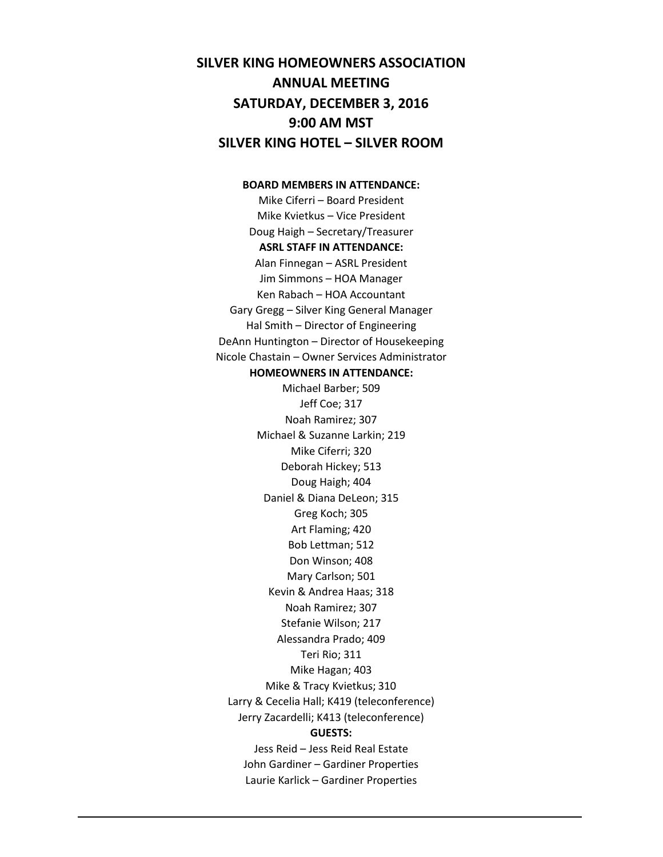# **SILVER KING HOMEOWNERS ASSOCIATION ANNUAL MEETING SATURDAY, DECEMBER 3, 2016 9:00 AM MST SILVER KING HOTEL – SILVER ROOM**

### **BOARD MEMBERS IN ATTENDANCE:**

Mike Ciferri – Board President Mike Kvietkus – Vice President Doug Haigh – Secretary/Treasurer **ASRL STAFF IN ATTENDANCE:** Alan Finnegan – ASRL President Jim Simmons – HOA Manager Ken Rabach – HOA Accountant Gary Gregg – Silver King General Manager Hal Smith – Director of Engineering DeAnn Huntington – Director of Housekeeping Nicole Chastain – Owner Services Administrator **HOMEOWNERS IN ATTENDANCE:** Michael Barber; 509 Jeff Coe; 317 Noah Ramirez; 307 Michael & Suzanne Larkin; 219 Mike Ciferri; 320 Deborah Hickey; 513 Doug Haigh; 404 Daniel & Diana DeLeon; 315 Greg Koch; 305 Art Flaming; 420 Bob Lettman; 512 Don Winson; 408 Mary Carlson; 501 Kevin & Andrea Haas; 318 Noah Ramirez; 307 Stefanie Wilson; 217 Alessandra Prado; 409 Teri Rio; 311 Mike Hagan; 403 Mike & Tracy Kvietkus; 310 Larry & Cecelia Hall; K419 (teleconference) Jerry Zacardelli; K413 (teleconference) **GUESTS:** Jess Reid – Jess Reid Real Estate John Gardiner – Gardiner Properties Laurie Karlick – Gardiner Properties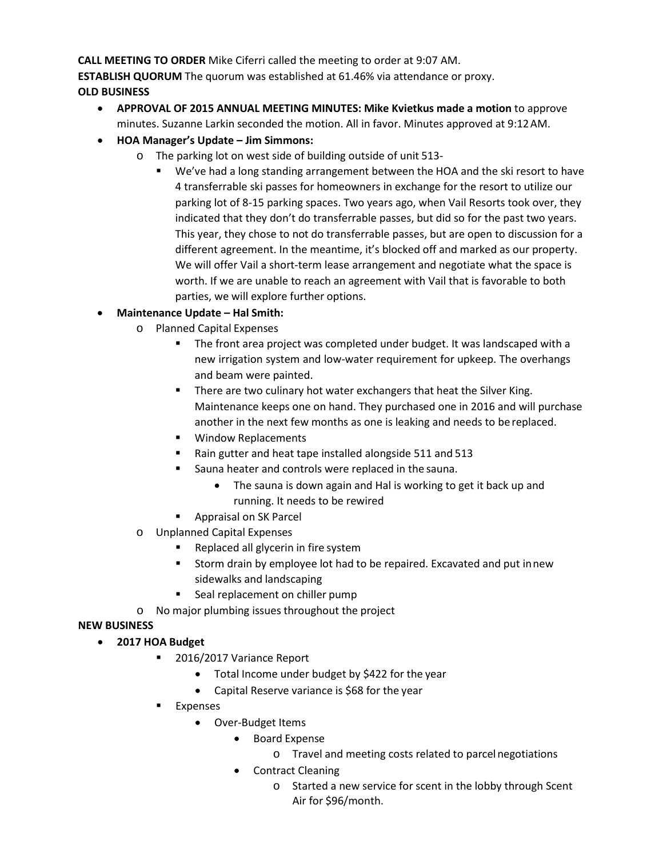**CALL MEETING TO ORDER** Mike Ciferri called the meeting to order at 9:07 AM.

**ESTABLISH QUORUM** The quorum was established at 61.46% via attendance or proxy. **OLD BUSINESS**

- **APPROVAL OF 2015 ANNUAL MEETING MINUTES: Mike Kvietkus made a motion** to approve minutes. Suzanne Larkin seconded the motion. All in favor. Minutes approved at 9:12AM.
- **HOA Manager's Update – Jim Simmons:**
	- o The parking lot on west side of building outside of unit 513-
		- We've had a long standing arrangement between the HOA and the ski resort to have 4 transferrable ski passes for homeowners in exchange for the resort to utilize our parking lot of 8-15 parking spaces. Two years ago, when Vail Resorts took over, they indicated that they don't do transferrable passes, but did so for the past two years. This year, they chose to not do transferrable passes, but are open to discussion for a different agreement. In the meantime, it's blocked off and marked as our property. We will offer Vail a short-term lease arrangement and negotiate what the space is worth. If we are unable to reach an agreement with Vail that is favorable to both parties, we will explore further options.

## • **Maintenance Update – Hal Smith:**

- o Planned Capital Expenses
	- The front area project was completed under budget. It was landscaped with a new irrigation system and low-water requirement for upkeep. The overhangs and beam were painted.
	- **There are two culinary hot water exchangers that heat the Silver King.** Maintenance keeps one on hand. They purchased one in 2016 and will purchase another in the next few months as one is leaking and needs to be replaced.
	- **Window Replacements**
	- Rain gutter and heat tape installed alongside 511 and 513
	- Sauna heater and controls were replaced in the sauna.
		- The sauna is down again and Hal is working to get it back up and running. It needs to be rewired
	- **Appraisal on SK Parcel**
- o Unplanned Capital Expenses
	- **Replaced all glycerin in fire system**
	- **EXTER** Storm drain by employee lot had to be repaired. Excavated and put innew sidewalks and landscaping
	- Seal replacement on chiller pump
- o No major plumbing issues throughout the project

## **NEW BUSINESS**

- **2017 HOA Budget**
	- 2016/2017 Variance Report
		- Total Income under budget by \$422 for the year
		- Capital Reserve variance is \$68 for the year
	- **Expenses** 
		- Over-Budget Items
			- Board Expense
				- o Travel and meeting costs related to parcelnegotiations
			- Contract Cleaning
				- o Started a new service for scent in the lobby through Scent Air for \$96/month.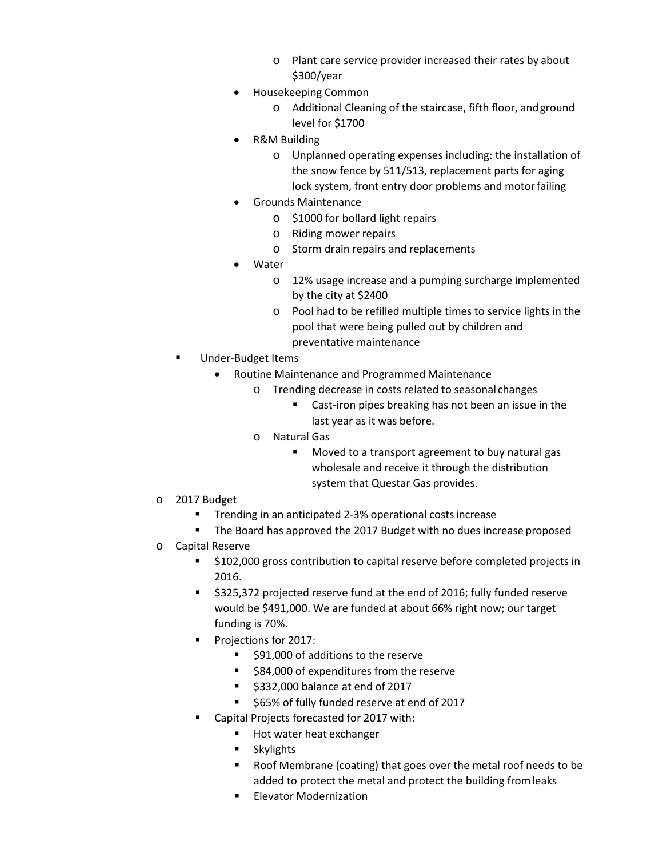- o Plant care service provider increased their rates by about \$300/year
- Housekeeping Common
	- o Additional Cleaning of the staircase, fifth floor, andground level for \$1700
- R&M Building
	- o Unplanned operating expenses including: the installation of the snow fence by 511/513, replacement parts for aging lock system, front entry door problems and motor failing
- Grounds Maintenance
	- o \$1000 for bollard light repairs
	- o Riding mower repairs
	- o Storm drain repairs and replacements
- Water
	- o 12% usage increase and a pumping surcharge implemented by the city at \$2400
	- o Pool had to be refilled multiple times to service lights in the pool that were being pulled out by children and preventative maintenance
- Under-Budget Items
	- Routine Maintenance and Programmed Maintenance
		- o Trending decrease in costs related to seasonal changes
			- **EXEC** Cast-iron pipes breaking has not been an issue in the last year as it was before.
		- o Natural Gas
			- **Moved to a transport agreement to buy natural gas** wholesale and receive it through the distribution system that Questar Gas provides.
- o 2017 Budget
	- **Trending in an anticipated 2-3% operational costs increase**
	- The Board has approved the 2017 Budget with no dues increase proposed
- o Capital Reserve
	- \$102,000 gross contribution to capital reserve before completed projects in 2016.
	- \$325,372 projected reserve fund at the end of 2016; fully funded reserve would be \$491,000. We are funded at about 66% right now; our target funding is 70%.
	- **Projections for 2017:** 
		- \$91,000 of additions to the reserve
		- **584,000 of expenditures from the reserve**
		- $\approx$  \$332,000 balance at end of 2017
		- \$65% of fully funded reserve at end of 2017
	- Capital Projects forecasted for 2017 with:
		- $\blacksquare$  Hot water heat exchanger
		- **Skylights**
		- Roof Membrane (coating) that goes over the metal roof needs to be added to protect the metal and protect the building fromleaks
		- **Elevator Modernization**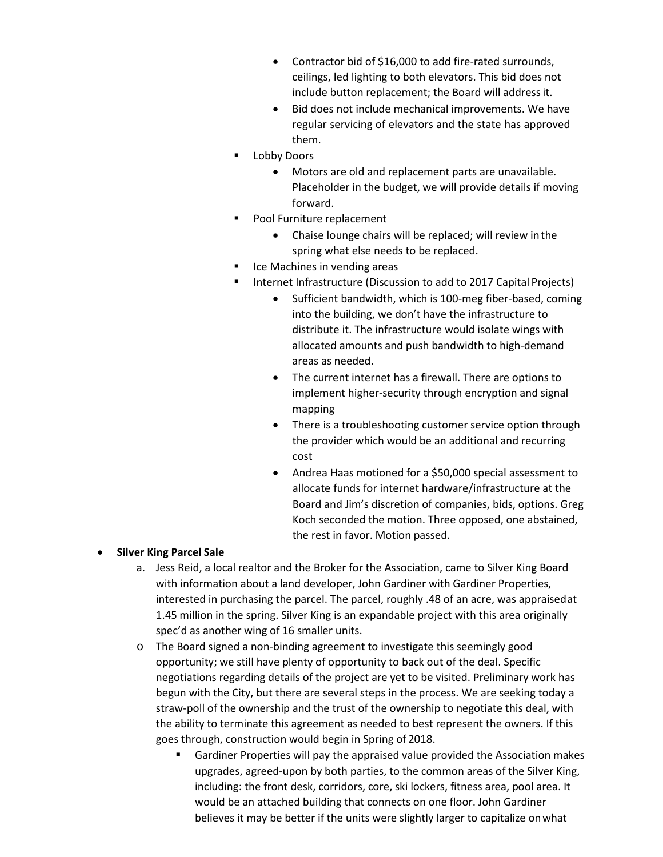- Contractor bid of \$16,000 to add fire-rated surrounds, ceilings, led lighting to both elevators. This bid does not include button replacement; the Board will addressit.
- Bid does not include mechanical improvements. We have regular servicing of elevators and the state has approved them.
- **Lobby Doors** 
	- Motors are old and replacement parts are unavailable. Placeholder in the budget, we will provide details if moving forward.
- **Pool Furniture replacement** 
	- Chaise lounge chairs will be replaced; will review inthe spring what else needs to be replaced.
- Ice Machines in vending areas
- Internet Infrastructure (Discussion to add to 2017 Capital Projects)
	- Sufficient bandwidth, which is 100-meg fiber-based, coming into the building, we don't have the infrastructure to distribute it. The infrastructure would isolate wings with allocated amounts and push bandwidth to high-demand areas as needed.
	- The current internet has a firewall. There are options to implement higher-security through encryption and signal mapping
	- There is a troubleshooting customer service option through the provider which would be an additional and recurring cost
	- Andrea Haas motioned for a \$50,000 special assessment to allocate funds for internet hardware/infrastructure at the Board and Jim's discretion of companies, bids, options. Greg Koch seconded the motion. Three opposed, one abstained, the rest in favor. Motion passed.

## • **Silver King Parcel Sale**

- a. Jess Reid, a local realtor and the Broker for the Association, came to Silver King Board with information about a land developer, John Gardiner with Gardiner Properties, interested in purchasing the parcel. The parcel, roughly .48 of an acre, was appraisedat 1.45 million in the spring. Silver King is an expandable project with this area originally spec'd as another wing of 16 smaller units.
- o The Board signed a non-binding agreement to investigate this seemingly good opportunity; we still have plenty of opportunity to back out of the deal. Specific negotiations regarding details of the project are yet to be visited. Preliminary work has begun with the City, but there are several steps in the process. We are seeking today a straw-poll of the ownership and the trust of the ownership to negotiate this deal, with the ability to terminate this agreement as needed to best represent the owners. If this goes through, construction would begin in Spring of 2018.
	- Gardiner Properties will pay the appraised value provided the Association makes upgrades, agreed-upon by both parties, to the common areas of the Silver King, including: the front desk, corridors, core, ski lockers, fitness area, pool area. It would be an attached building that connects on one floor. John Gardiner believes it may be better if the units were slightly larger to capitalize onwhat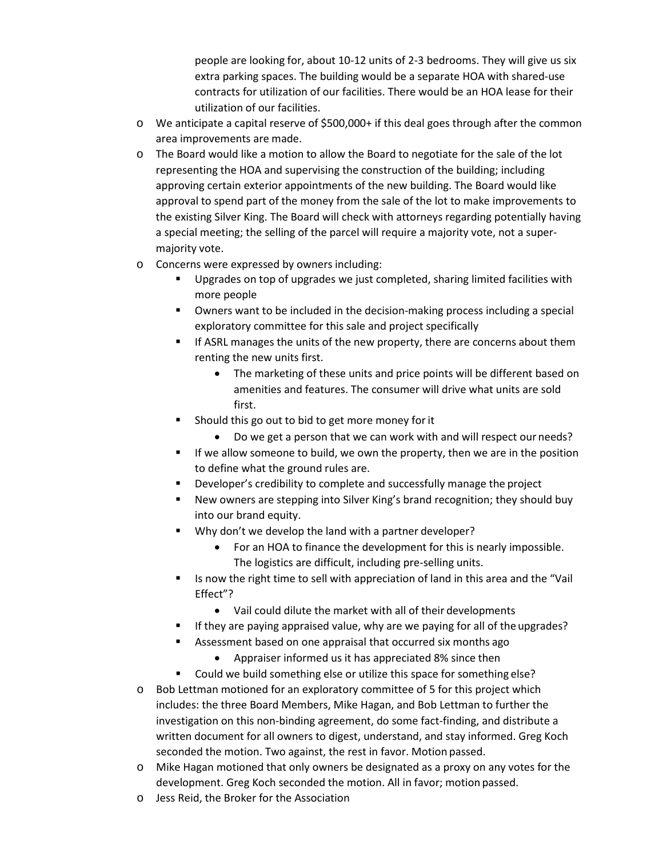people are looking for, about 10-12 units of 2-3 bedrooms. They will give us six extra parking spaces. The building would be a separate HOA with shared-use contracts for utilization of our facilities. There would be an HOA lease for their utilization of our facilities.

- o We anticipate a capital reserve of \$500,000+ if this deal goes through after the common area improvements are made.
- o The Board would like a motion to allow the Board to negotiate for the sale of the lot representing the HOA and supervising the construction of the building; including approving certain exterior appointments of the new building. The Board would like approval to spend part of the money from the sale of the lot to make improvements to the existing Silver King. The Board will check with attorneys regarding potentially having a special meeting; the selling of the parcel will require a majority vote, not a supermajority vote.
- o Concerns were expressed by owners including:
	- Upgrades on top of upgrades we just completed, sharing limited facilities with more people
	- Owners want to be included in the decision-making process including a special exploratory committee for this sale and project specifically
	- If ASRL manages the units of the new property, there are concerns about them renting the new units first.
		- The marketing of these units and price points will be different based on amenities and features. The consumer will drive what units are sold first.
	- Should this go out to bid to get more money forit
		- Do we get a person that we can work with and will respect our needs?
	- If we allow someone to build, we own the property, then we are in the position to define what the ground rules are.
	- Developer's credibility to complete and successfully manage the project
	- New owners are stepping into Silver King's brand recognition; they should buy into our brand equity.
	- Why don't we develop the land with a partner developer?
		- For an HOA to finance the development for this is nearly impossible. The logistics are difficult, including pre-selling units.
	- Is now the right time to sell with appreciation of land in this area and the "Vail Effect"?
		- Vail could dilute the market with all of their developments
	- If they are paying appraised value, why are we paying for all of the upgrades?
	- Assessment based on one appraisal that occurred six months ago
		- Appraiser informed us it has appreciated 8% since then
	- Could we build something else or utilize this space for something else?
- o Bob Lettman motioned for an exploratory committee of 5 for this project which includes: the three Board Members, Mike Hagan, and Bob Lettman to further the investigation on this non-binding agreement, do some fact-finding, and distribute a written document for all owners to digest, understand, and stay informed. Greg Koch seconded the motion. Two against, the rest in favor. Motion passed.
- o Mike Hagan motioned that only owners be designated as a proxy on any votes for the development. Greg Koch seconded the motion. All in favor; motion passed.
- o Jess Reid, the Broker for the Association